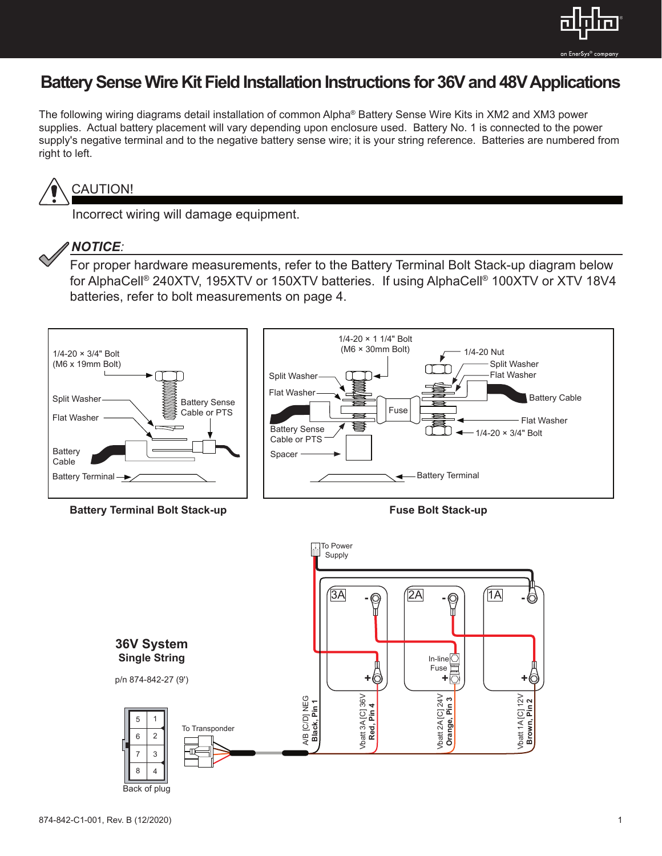

# **Battery Sense Wire Kit Field Installation Instructions for 36V and 48V Applications**

The following wiring diagrams detail installation of common Alpha® Battery Sense Wire Kits in XM2 and XM3 power supplies. Actual battery placement will vary depending upon enclosure used. Battery No. 1 is connected to the power supply's negative terminal and to the negative battery sense wire; it is your string reference. Batteries are numbered from right to left.



## CAUTION!

Incorrect wiring will damage equipment.



### *NOTICE:*

For proper hardware measurements, refer to the Battery Terminal Bolt Stack-up diagram below for AlphaCell® 240XTV, 195XTV or 150XTV batteries. If using AlphaCell® 100XTV or XTV 18V4 batteries, refer to bolt measurements on page 4.



**Battery Terminal Bolt Stack-up Fuse Bolt Stack-up** 



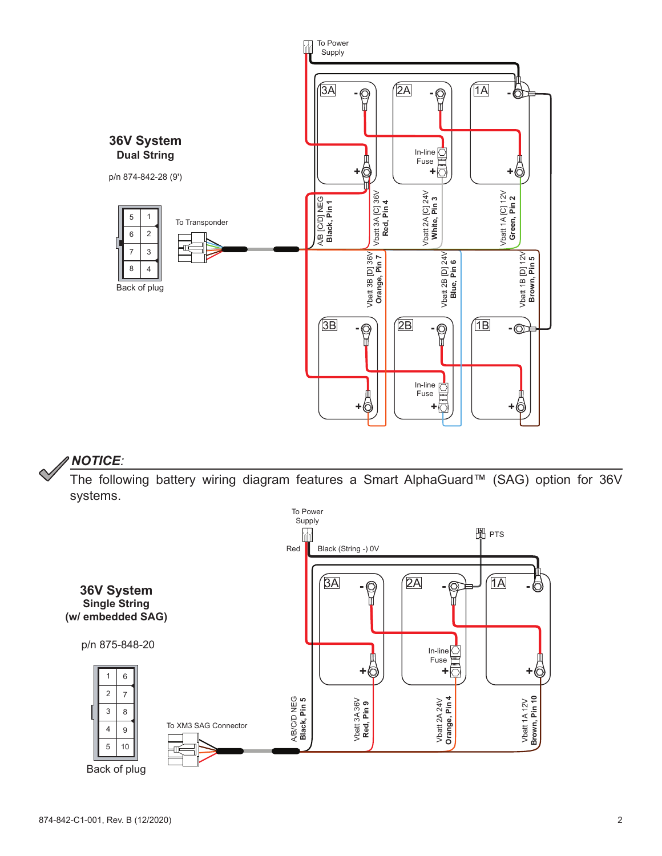

The following battery wiring diagram features a Smart AlphaGuard™ (SAG) option for 36V systems.

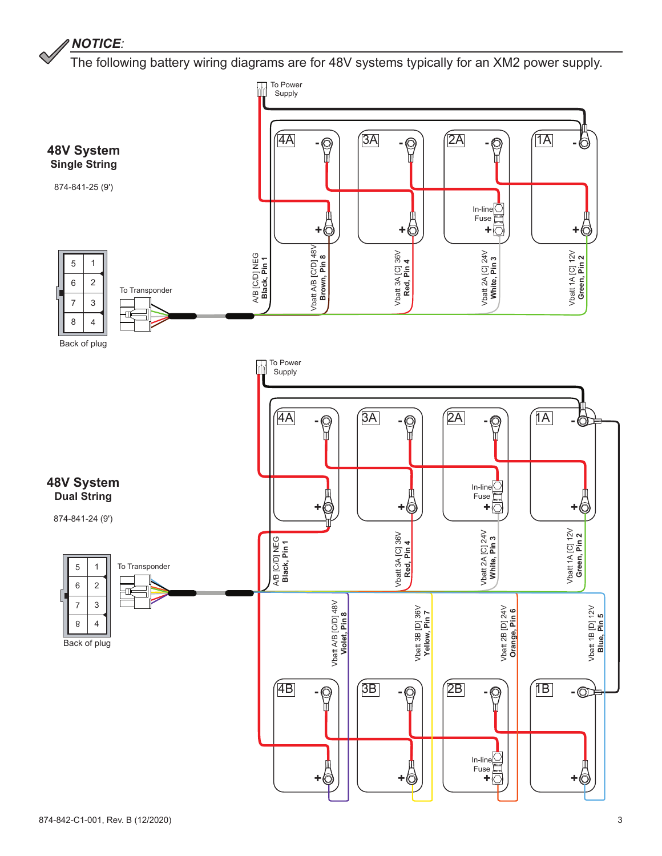The following battery wiring diagrams are for 48V systems typically for an XM2 power supply.

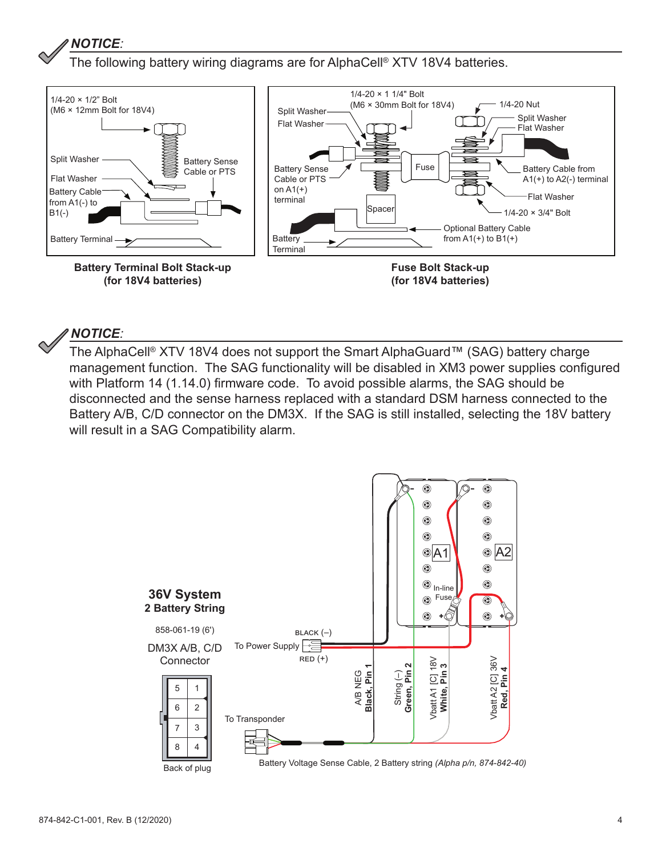The following battery wiring diagrams are for AlphaCell® XTV 18V4 batteries.



#### *NOTICE:*

The AlphaCell® XTV 18V4 does not support the Smart AlphaGuard™ (SAG) battery charge management function. The SAG functionality will be disabled in XM3 power supplies configured with Platform 14 (1.14.0) firmware code. To avoid possible alarms, the SAG should be disconnected and the sense harness replaced with a standard DSM harness connected to the Battery A/B, C/D connector on the DM3X. If the SAG is still installed, selecting the 18V battery will result in a SAG Compatibility alarm.